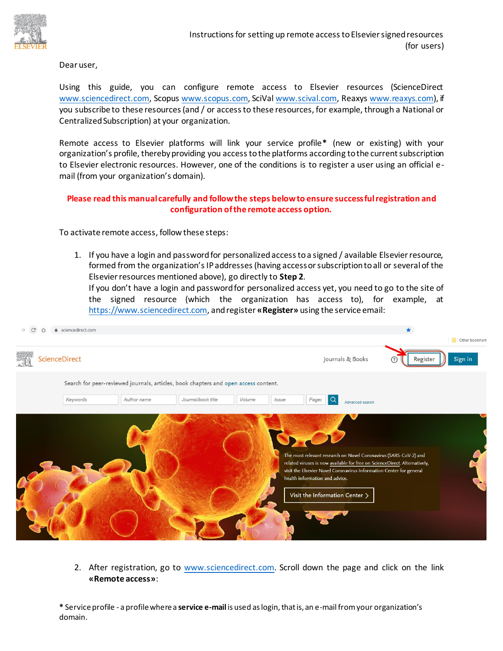

Dear user,

Using this guide, you can configure remote access to Elsevier resources (ScienceDirect www.sciencedirect.com, Scopus www.scopus.com, SciVal www.scival.com, Reaxys www.reaxys.com), if you subscribe to these resources (and / or access to these resources, for example, through a National or Centralized Subscription) at your organization.

Remote access to Elsevier platforms will link your service profile**\*** (new or existing) with your organization's profile, thereby providing you access to the platforms according to the current subscription to Elsevier electronic resources. However, one of the conditions is to register a user using an official email (from your organization's domain).

## **Please read this manual carefully and follow the steps below to ensure successful registration and configuration of the remote access option.**

To activate remote access, follow these steps:

1. If you have a login and password for personalized access to a signed / available Elsevier resource, formed from the organization's IP addresses (having access or subscription to all or several of the Elsevier resources mentioned above), go directly to **Step 2**. If you don't have a login and password for personalized access yet, you need to go to the site of

the signed resource (which the organization has access to), for example, at https://www.sciencedirect.com, and register **«Register»** using the service email:



2. After registration, go to www.sciencedirect.com. Scroll down the page and click on the link **«Remote access»**:

**\*** Service profile - a profile where a **service e-mail** is used as login, that is, an e-mail from your organization's domain.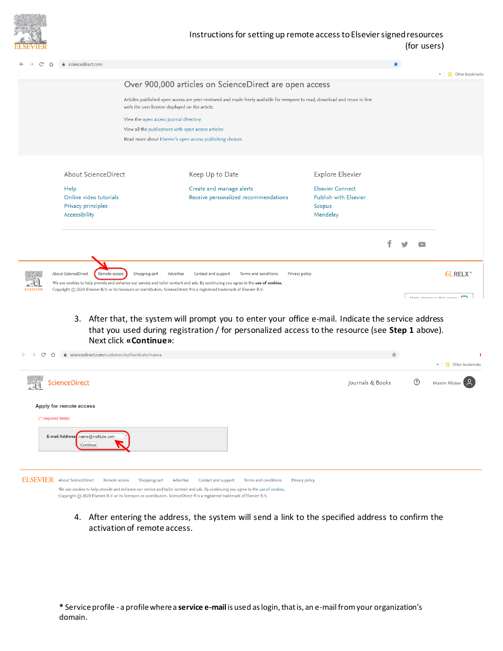

## Instructions for setting up remote access to Elsevier signed resources (for users)

| C               | e sciencedirect.com                                                                                                                                                                                                                                              |                                                                                                                                                                                |                                                                  |                                                                               |  |  |  |                          |
|-----------------|------------------------------------------------------------------------------------------------------------------------------------------------------------------------------------------------------------------------------------------------------------------|--------------------------------------------------------------------------------------------------------------------------------------------------------------------------------|------------------------------------------------------------------|-------------------------------------------------------------------------------|--|--|--|--------------------------|
|                 |                                                                                                                                                                                                                                                                  |                                                                                                                                                                                |                                                                  |                                                                               |  |  |  | » Cther bookmark         |
|                 |                                                                                                                                                                                                                                                                  | Over 900,000 articles on ScienceDirect are open access                                                                                                                         |                                                                  |                                                                               |  |  |  |                          |
|                 |                                                                                                                                                                                                                                                                  | Articles published open access are peer-reviewed and made freely available for everyone to read, download and reuse in line<br>with the user license displayed on the article. |                                                                  |                                                                               |  |  |  |                          |
|                 | View the open access journal directory                                                                                                                                                                                                                           |                                                                                                                                                                                |                                                                  |                                                                               |  |  |  |                          |
|                 | View all the publications with open access articles<br>Read more about Elsevier's open access publishing choices                                                                                                                                                 |                                                                                                                                                                                |                                                                  |                                                                               |  |  |  |                          |
|                 |                                                                                                                                                                                                                                                                  |                                                                                                                                                                                |                                                                  |                                                                               |  |  |  |                          |
|                 |                                                                                                                                                                                                                                                                  |                                                                                                                                                                                |                                                                  |                                                                               |  |  |  |                          |
|                 | <b>About ScienceDirect</b>                                                                                                                                                                                                                                       |                                                                                                                                                                                | Keep Up to Date                                                  | <b>Explore Elsevier</b>                                                       |  |  |  |                          |
|                 | Help<br>Online video tutorials<br>Privacy principles<br>Accessibility                                                                                                                                                                                            |                                                                                                                                                                                | Create and manage alerts<br>Receive personalized recommendations | <b>Elsevier Connect</b><br><b>Publish with Elsevier</b><br>Scopus<br>Mendeley |  |  |  |                          |
|                 |                                                                                                                                                                                                                                                                  |                                                                                                                                                                                |                                                                  |                                                                               |  |  |  |                          |
|                 | <b>About ScienceDirect</b><br>Shopping cart<br>Advertise<br>Contact and support<br>Terms and conditions<br>Privacy policy<br>Remote access                                                                                                                       |                                                                                                                                                                                |                                                                  |                                                                               |  |  |  | $Q$ RELX <sup>"</sup>    |
| <b>ELSEVIEF</b> | We use cookies to help provide and enhance our service and tailor content and ads. By continuing you agree to the use of cookies.<br>Copyright © 2020 Elsevier B.V. or its licensors or contributors. ScienceDirect ® is a registered trademark of Elsevier B.V. |                                                                                                                                                                                |                                                                  |                                                                               |  |  |  | Holp improve this nage [ |

## 3. After that, the system will prompt you to enter your office e-mail. Indicate the service address that you used during registration / for personalized access to the resource (see **Step 1** above). Next click **«Continue»**:

| C<br>● sciencedirect.com/customer/authenticate/manra<br>$\leftarrow$ $\rightarrow$<br>⇧                                                                                                                                                                                                                                                                                                                                           | ☆                |              |                   |
|-----------------------------------------------------------------------------------------------------------------------------------------------------------------------------------------------------------------------------------------------------------------------------------------------------------------------------------------------------------------------------------------------------------------------------------|------------------|--------------|-------------------|
|                                                                                                                                                                                                                                                                                                                                                                                                                                   |                  |              | » Cther bookmarks |
| ScienceDirect                                                                                                                                                                                                                                                                                                                                                                                                                     | Journals & Books | $^\circledR$ | Maxim Filatov 8   |
| Apply for remote access                                                                                                                                                                                                                                                                                                                                                                                                           |                  |              |                   |
| (*=required fields)                                                                                                                                                                                                                                                                                                                                                                                                               |                  |              |                   |
| E-mail Address name@institute.com<br>Continue                                                                                                                                                                                                                                                                                                                                                                                     |                  |              |                   |
| <b>ELSEVIER</b><br><b>About ScienceDirect</b><br>Shopping cart<br>Contact and support<br>Terms and conditions<br>Remote access<br>Advertise<br>Privacy policy<br>We use cookies to help provide and enhance our service and tailor content and ads. By continuing you agree to the use of cookies.<br>Copyright © 2020 Elsevier B.V. or its licensors or contributors. ScienceDirect ® is a registered trademark of Elsevier B.V. |                  |              |                   |

4. After entering the address, the system will send a link to the specified address to confirm the activation of remote access.

**\*** Service profile - a profile where a **service e-mail** is used as login, that is, an e-mail from your organization's domain.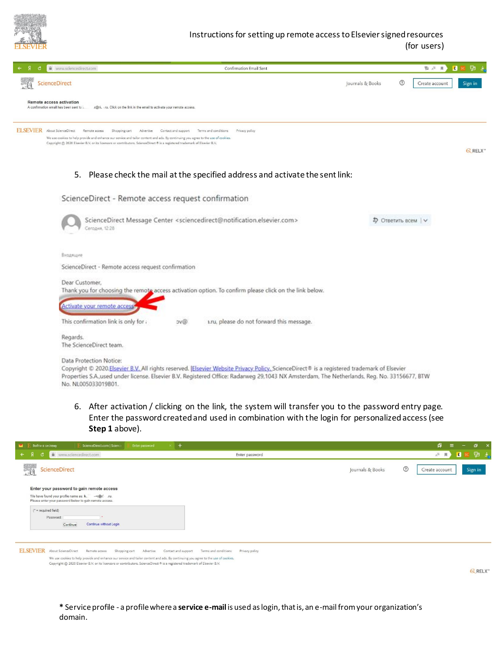

## Instructions for setting up remote access to Elsevier signed resources (for users)

| www.sciencedirect.com<br><b>Confirmation Email Sent</b><br>$\theta$                                                                                                                                                                                                                                                                                                                                                     | ₿<br><b>配 点</b><br>л                                     |  |  |  |
|-------------------------------------------------------------------------------------------------------------------------------------------------------------------------------------------------------------------------------------------------------------------------------------------------------------------------------------------------------------------------------------------------------------------------|----------------------------------------------------------|--|--|--|
| <b>ScienceDirect</b>                                                                                                                                                                                                                                                                                                                                                                                                    | $\odot$<br>Journals & Books<br>Create account<br>Sign in |  |  |  |
| Remote access activation<br>A confirmation email has been sent to it.<br>r@ri. .ru. Click on the link in the email to activate your remote access.                                                                                                                                                                                                                                                                      |                                                          |  |  |  |
| <b>ELSEVIER</b> About ScienceDirect<br>Contact and support<br>Terms and conditions<br>Privacy policy<br>Remote access<br>Shopping cart<br>Advertise<br>We use cookies to help provide and enhance our service and tailor content and ads. By continuing you agree to the use of cookies.<br>Copyright @ 2020 Elsevier B.V. or its licensors or contributors. ScienceDirect ® is a registered trademark of Elsevier B.V. | <b><i>RELX</i></b>                                       |  |  |  |
| 5.<br>Please check the mail at the specified address and activate the sent link:                                                                                                                                                                                                                                                                                                                                        |                                                          |  |  |  |
| ScienceDirect - Remote access request confirmation                                                                                                                                                                                                                                                                                                                                                                      |                                                          |  |  |  |
| ScienceDirect Message Center <sciencedirect@notification.elsevier.com><br/>⊅ Ответить всем   ∨<br/>Сегодня, 12:28</sciencedirect@notification.elsevier.com>                                                                                                                                                                                                                                                             |                                                          |  |  |  |
| Входящие                                                                                                                                                                                                                                                                                                                                                                                                                |                                                          |  |  |  |
| ScienceDirect - Remote access request confirmation                                                                                                                                                                                                                                                                                                                                                                      |                                                          |  |  |  |
| Dear Customer,<br>Thank you for choosing the remote access activation option. To confirm please click on the link below.<br>Activate your remote access                                                                                                                                                                                                                                                                 |                                                          |  |  |  |
| This confirmation link is only for a<br>1.ru, please do not forward this message.<br>by@                                                                                                                                                                                                                                                                                                                                |                                                          |  |  |  |
| Regards.<br>The ScienceDirect team.                                                                                                                                                                                                                                                                                                                                                                                     |                                                          |  |  |  |
| Data Protection Notice:<br>Copyright @ 2020.Elsevier B.V. All rights reserved. Elsevier Website Privacy Policy. ScienceDirect® is a registered trademark of Elsevier<br>Properties S.A.used under license. Elsevier B.V. Registered Office: Radarweg 29.1043 NX Amsterdam, The Netherlands, Reg. No. 33156677, BTW<br>No. NL005033019B01.                                                                               |                                                          |  |  |  |

6. After activation / clicking on the link, the system will transfer you to the password entry page. Enter the password created and used in combination with the login for personalized access (see **Step 1** above).

| <b>• Е</b> Войти в систему<br>$\times$ +<br>ScienceDirect.com   Science<br>Enter password                                                                                                                                                         |                                        | 点<br>$\mathbf{x}$<br>a.                     |
|---------------------------------------------------------------------------------------------------------------------------------------------------------------------------------------------------------------------------------------------------|----------------------------------------|---------------------------------------------|
| $\xi$<br>www.sciencedirect.com<br>C                                                                                                                                                                                                               | Enter password                         | 면 스.<br><b>A</b> <sup>35</sup><br>и         |
| <b>ScienceDirect</b>                                                                                                                                                                                                                              | Journals & Books                       | $\circledcirc$<br>Sign in<br>Create account |
| Enter your password to gain remote access<br>We have found your profile name as: k. - - r@ri .ru.<br>Please enter your password below to gain remote access.<br>$($ " = required field)<br>Password:                                              |                                        |                                             |
| Continue without Login<br>Continue                                                                                                                                                                                                                |                                        |                                             |
| <b>ELSEVIER</b><br>About ScienceDirect<br>Remote access<br>Shopping cart<br>Advertise<br>Contact and support<br>We use cookies to help provide and enhance our service and tailor content and ads. By continuing you agree to the use of cookies. | Terms and conditions<br>Privacy policy |                                             |
| Copyright © 2020 Elsevier B.V. or its licensors or contributors. ScienceDirect ® is a registered trademark of Elsevier B.V.                                                                                                                       |                                        | <b><i>RELX™</i></b>                         |

**\*** Service profile - a profile where a **service e-mail** is used as login, that is, an e-mail from your organization's domain.